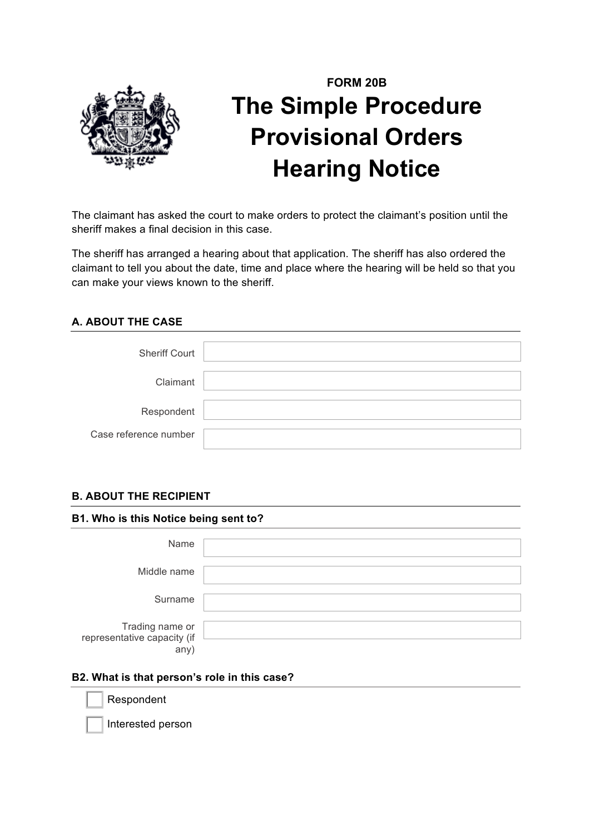

# **FORM 20B The Simple Procedure Provisional Orders Hearing Notice**

The claimant has asked the court to make orders to protect the claimant's position until the sheriff makes a final decision in this case.

The sheriff has arranged a hearing about that application. The sheriff has also ordered the claimant to tell you about the date, time and place where the hearing will be held so that you can make your views known to the sheriff.

# **A. ABOUT THE CASE**

| <b>Sheriff Court</b>  |  |
|-----------------------|--|
| Claimant              |  |
| Respondent            |  |
| Case reference number |  |

## **B. ABOUT THE RECIPIENT**

**B1. Who is this Notice being sent to?**

|                                                | - |
|------------------------------------------------|---|
|                                                |   |
| Name                                           |   |
|                                                |   |
|                                                |   |
| Middle name                                    |   |
|                                                |   |
| Surname                                        |   |
|                                                |   |
|                                                |   |
| Trading name or<br>representative capacity (if |   |
|                                                |   |
|                                                |   |
| any)                                           |   |

#### **B2. What is that person's role in this case?**

Respondent

Interested person